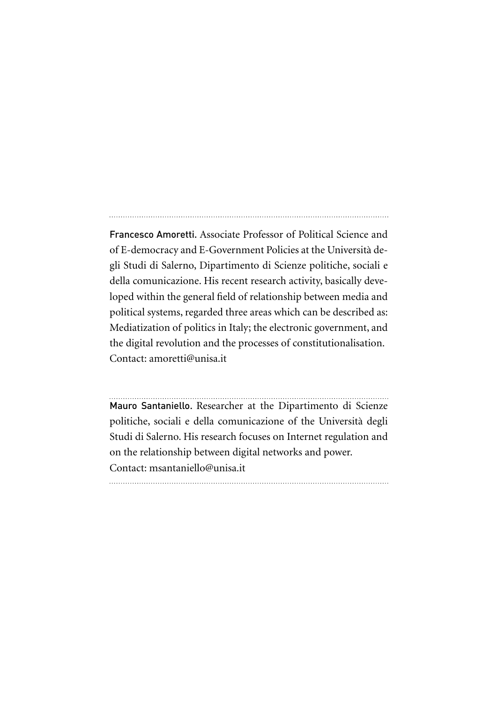Francesco Amoretti. Associate Professor of Political Science and of E-democracy and E-Government Policies at the Università degli Studi di Salerno, Dipartimento di Scienze politiche, sociali e della comunicazione. His recent research activity, basically developed within the general field of relationship between media and political systems, regarded three areas which can be described as: Mediatization of politics in Italy; the electronic government, and the digital revolution and the processes of constitutionalisation. Contact: amoretti@unisa.it

Mauro Santaniello. Researcher at the Dipartimento di Scienze politiche, sociali e della comunicazione of the Università degli Studi di Salerno. His research focuses on Internet regulation and on the relationship between digital networks and power. Contact: msantaniello@unisa.it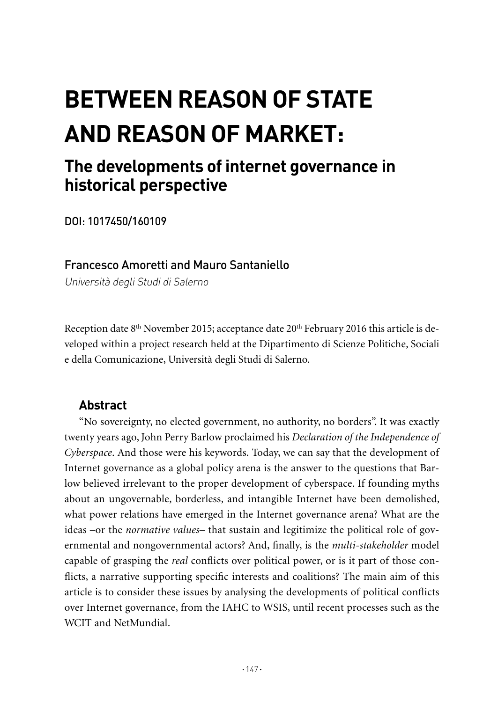# **Between Reason of State and Reason of Market:**

# **The developments of internet governance in historical perspective**

DOI: 1017450/160109

# Francesco Amoretti and Mauro Santaniello

Università degli Studi di Salerno

Reception date 8<sup>th</sup> November 2015; acceptance date 20<sup>th</sup> February 2016 this article is developed within a project research held at the Dipartimento di Scienze Politiche, Sociali e della Comunicazione, Università degli Studi di Salerno.

# **Abstract**

"No sovereignty, no elected government, no authority, no borders". It was exactly twenty years ago, John Perry Barlow proclaimed his *Declaration of the Independence of Cyberspace*. And those were his keywords. Today, we can say that the development of Internet governance as a global policy arena is the answer to the questions that Barlow believed irrelevant to the proper development of cyberspace. If founding myths about an ungovernable, borderless, and intangible Internet have been demolished, what power relations have emerged in the Internet governance arena? What are the ideas –or the *normative values*– that sustain and legitimize the political role of governmental and nongovernmental actors? And, finally, is the *multi-stakeholder* model capable of grasping the *real* conflicts over political power, or is it part of those conflicts, a narrative supporting specific interests and coalitions? The main aim of this article is to consider these issues by analysing the developments of political conflicts over Internet governance, from the IAHC to WSIS, until recent processes such as the WCIT and NetMundial.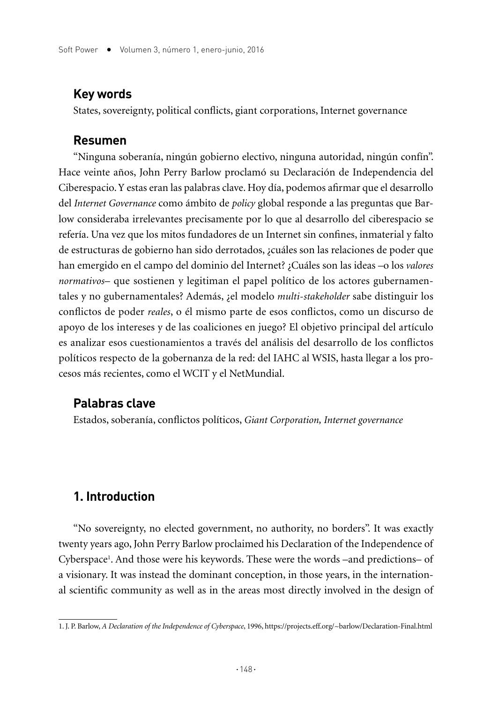#### **Key words**

States, sovereignty, political conflicts, giant corporations, Internet governance

#### **Resumen**

"Ninguna soberanía, ningún gobierno electivo, ninguna autoridad, ningún confín". Hace veinte años, John Perry Barlow proclamó su Declaración de Independencia del Ciberespacio. Y estas eran las palabras clave. Hoy día, podemos afirmar que el desarrollo del *Internet Governance* como ámbito de *policy* global responde a las preguntas que Barlow consideraba irrelevantes precisamente por lo que al desarrollo del ciberespacio se refería. Una vez que los mitos fundadores de un Internet sin confines, inmaterial y falto de estructuras de gobierno han sido derrotados, ¿cuáles son las relaciones de poder que han emergido en el campo del dominio del Internet? ¿Cuáles son las ideas –o los *valores normativos*– que sostienen y legitiman el papel político de los actores gubernamentales y no gubernamentales? Además, ¿el modelo *multi-stakeholder* sabe distinguir los conflictos de poder *reales*, o él mismo parte de esos conflictos, como un discurso de apoyo de los intereses y de las coaliciones en juego? El objetivo principal del artículo es analizar esos cuestionamientos a través del análisis del desarrollo de los conflictos políticos respecto de la gobernanza de la red: del IAHC al WSIS, hasta llegar a los procesos más recientes, como el WCIT y el NetMundial.

#### **Palabras clave**

Estados, soberanía, conflictos políticos, *Giant Corporation, Internet governance*

# **1. Introduction**

"No sovereignty, no elected government, no authority, no borders". It was exactly twenty years ago, John Perry Barlow proclaimed his Declaration of the Independence of Cyberspace<sup>1</sup>. And those were his keywords. These were the words –and predictions– of a visionary. It was instead the dominant conception, in those years, in the international scientific community as well as in the areas most directly involved in the design of

<sup>1.</sup> J. P. Barlow, *A Declaration of the Independence of Cyberspace*, 1996, https://projects.eff.org/~barlow/Declaration-Final.html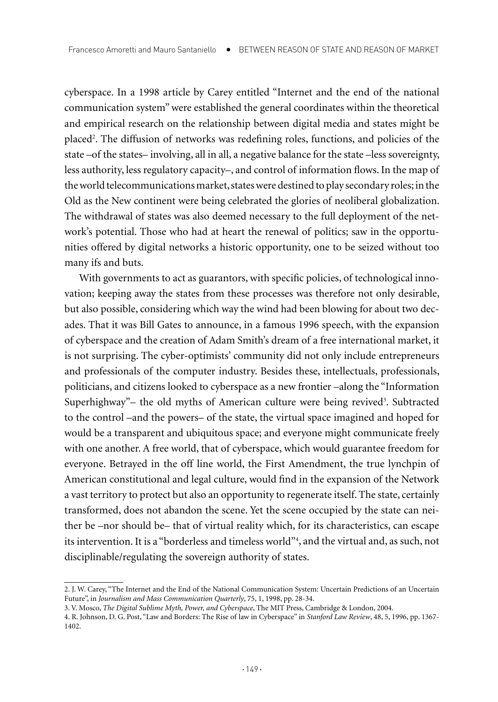cyberspace. In a 1998 article by Carey entitled "Internet and the end of the national communication system" were established the general coordinates within the theoretical and empirical research on the relationship between digital media and states might be placed<sup>2</sup>. The diffusion of networks was redefining roles, functions, and policies of the state –of the states– involving, all in all, a negative balance for the state –less sovereignty, less authority, less regulatory capacity–, and control of information flows. In the map of the world telecommunications market, states were destined to play secondary roles; in the Old as the New continent were being celebrated the glories of neoliberal globalization. The withdrawal of states was also deemed necessary to the full deployment of the network's potential. Those who had at heart the renewal of politics; saw in the opportunities offered by digital networks a historic opportunity, one to be seized without too many ifs and buts.

With governments to act as guarantors, with specific policies, of technological innovation; keeping away the states from these processes was therefore not only desirable, but also possible, considering which way the wind had been blowing for about two decades. That it was Bill Gates to announce, in a famous 1996 speech, with the expansion of cyberspace and the creation of Adam Smith's dream of a free international market, it is not surprising. The cyber-optimists' community did not only include entrepreneurs and professionals of the computer industry. Besides these, intellectuals, professionals, politicians, and citizens looked to cyberspace as a new frontier –along the "Information Superhighway" – the old myths of American culture were being revived<sup>3</sup>. Subtracted to the control –and the powers– of the state, the virtual space imagined and hoped for would be a transparent and ubiquitous space; and everyone might communicate freely with one another. A free world, that of cyberspace, which would guarantee freedom for everyone. Betrayed in the off line world, the First Amendment, the true lynchpin of American constitutional and legal culture, would find in the expansion of the Network a vast territory to protect but also an opportunity to regenerate itself. The state, certainly transformed, does not abandon the scene. Yet the scene occupied by the state can neither be –nor should be– that of virtual reality which, for its characteristics, can escape its intervention. It is a "borderless and timeless world"4 , and the virtual and, as such, not disciplinable/regulating the sovereign authority of states.

<sup>2.</sup> J. W. Carey, "The Internet and the End of the National Communication System: Uncertain Predictions of an Uncertain Future", in *Journalism and Mass Communication Quarterly*, 75, 1, 1998, pp. 28-34.

<sup>3.</sup> V. Mosco, *The Digital Sublime Myth, Power, and Cyberspace*, The MIT Press, Cambridge & London, 2004.

<sup>4.</sup> R. Johnson, D. G. Post, "Law and Borders: The Rise of law in Cyberspace" in *Stanford Law Review*, 48, 5, 1996, pp. 1367- 1402.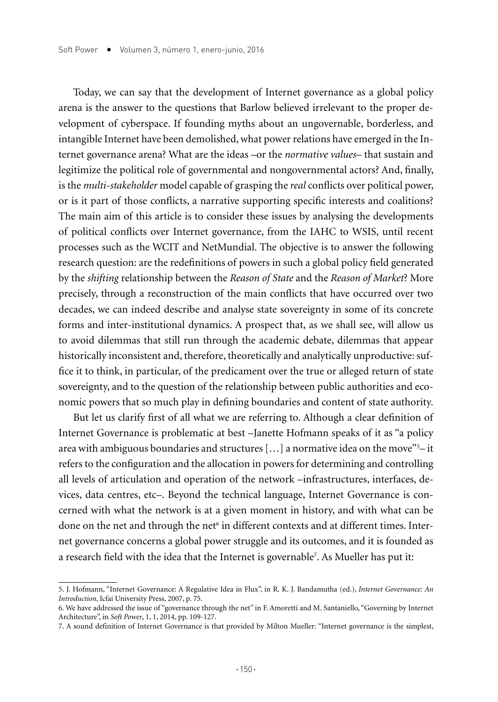Today, we can say that the development of Internet governance as a global policy arena is the answer to the questions that Barlow believed irrelevant to the proper development of cyberspace. If founding myths about an ungovernable, borderless, and intangible Internet have been demolished, what power relations have emerged in the Internet governance arena? What are the ideas –or the *normative values*– that sustain and legitimize the political role of governmental and nongovernmental actors? And, finally, is the *multi-stakeholder* model capable of grasping the *real* conflicts over political power, or is it part of those conflicts, a narrative supporting specific interests and coalitions? The main aim of this article is to consider these issues by analysing the developments of political conflicts over Internet governance, from the IAHC to WSIS, until recent processes such as the WCIT and NetMundial. The objective is to answer the following research question: are the redefinitions of powers in such a global policy field generated by the *shifting* relationship between the *Reason of State* and the *Reason of Market*? More precisely, through a reconstruction of the main conflicts that have occurred over two decades, we can indeed describe and analyse state sovereignty in some of its concrete forms and inter-institutional dynamics. A prospect that, as we shall see, will allow us to avoid dilemmas that still run through the academic debate, dilemmas that appear historically inconsistent and, therefore, theoretically and analytically unproductive: suffice it to think, in particular, of the predicament over the true or alleged return of state sovereignty, and to the question of the relationship between public authorities and economic powers that so much play in defining boundaries and content of state authority.

But let us clarify first of all what we are referring to. Although a clear definition of Internet Governance is problematic at best –Janette Hofmann speaks of it as "a policy area with ambiguous boundaries and structures  $[...]$  a normative idea on the move"<sup>5</sup>-it refers to the configuration and the allocation in powers for determining and controlling all levels of articulation and operation of the network –infrastructures, interfaces, devices, data centres, etc–. Beyond the technical language, Internet Governance is concerned with what the network is at a given moment in history, and with what can be done on the net and through the net $\mathfrak s$  in different contexts and at different times. Internet governance concerns a global power struggle and its outcomes, and it is founded as a research field with the idea that the Internet is governable7 . As Mueller has put it:

<sup>5.</sup> J. Hofmann, "Internet Governance: A Regulative Idea in Flux", in R. K. J. Bandamutha (ed.), *Internet Governance: An Introduction*, Icfai University Press, 2007, p. 75.

<sup>6.</sup> We have addressed the issue of "governance through the net" in F. Amoretti and M. Santaniello, "Governing by Internet Architecture", in *Soft Power*, 1, 1, 2014, pp. 109-127.

<sup>7.</sup> A sound definition of Internet Governance is that provided by Milton Mueller: "Internet governance is the simplest,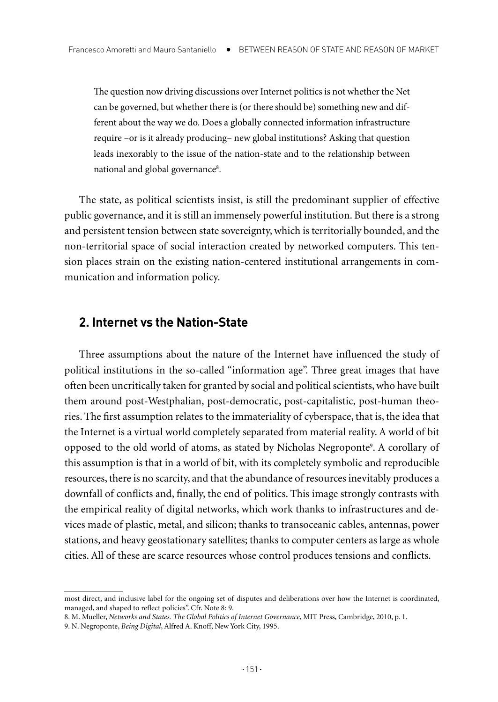The question now driving discussions over Internet politics is not whether the Net can be governed, but whether there is (or there should be) something new and different about the way we do. Does a globally connected information infrastructure require –or is it already producing– new global institutions? Asking that question leads inexorably to the issue of the nation-state and to the relationship between national and global governance<sup>s</sup>.

The state, as political scientists insist, is still the predominant supplier of effective public governance, and it is still an immensely powerful institution. But there is a strong and persistent tension between state sovereignty, which is territorially bounded, and the non-territorial space of social interaction created by networked computers. This tension places strain on the existing nation-centered institutional arrangements in communication and information policy.

# **2. Internet vs the Nation-State**

Three assumptions about the nature of the Internet have influenced the study of political institutions in the so-called "information age". Three great images that have often been uncritically taken for granted by social and political scientists, who have built them around post-Westphalian, post-democratic, post-capitalistic, post-human theories. The first assumption relates to the immateriality of cyberspace, that is, the idea that the Internet is a virtual world completely separated from material reality. A world of bit opposed to the old world of atoms, as stated by Nicholas Negroponte<sup>9</sup>. A corollary of this assumption is that in a world of bit, with its completely symbolic and reproducible resources, there is no scarcity, and that the abundance of resources inevitably produces a downfall of conflicts and, finally, the end of politics. This image strongly contrasts with the empirical reality of digital networks, which work thanks to infrastructures and devices made of plastic, metal, and silicon; thanks to transoceanic cables, antennas, power stations, and heavy geostationary satellites; thanks to computer centers as large as whole cities. All of these are scarce resources whose control produces tensions and conflicts.

most direct, and inclusive label for the ongoing set of disputes and deliberations over how the Internet is coordinated, managed, and shaped to reflect policies". Cfr. Note 8: 9.

<sup>8.</sup> M. Mueller, *Networks and States. The Global Politics of Internet Governance*, MIT Press, Cambridge, 2010, p. 1.

<sup>9.</sup> N. Negroponte, *Being Digital*, Alfred A. Knoff, New York City, 1995.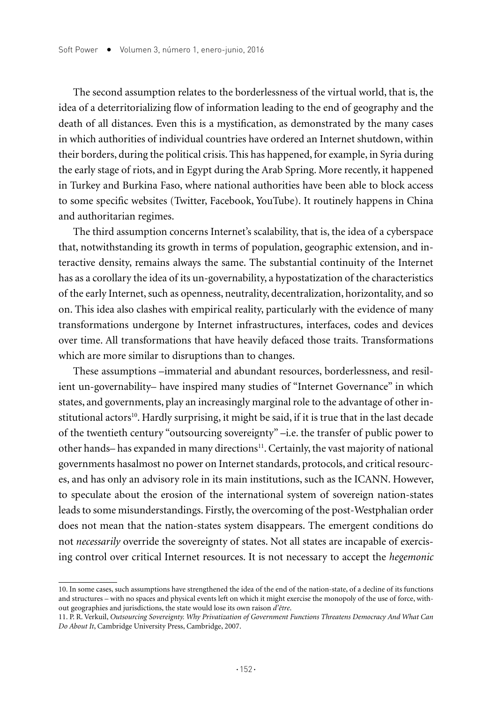The second assumption relates to the borderlessness of the virtual world, that is, the idea of a deterritorializing flow of information leading to the end of geography and the death of all distances. Even this is a mystification, as demonstrated by the many cases in which authorities of individual countries have ordered an Internet shutdown, within their borders, during the political crisis. This has happened, for example, in Syria during the early stage of riots, and in Egypt during the Arab Spring. More recently, it happened in Turkey and Burkina Faso, where national authorities have been able to block access to some specific websites (Twitter, Facebook, YouTube). It routinely happens in China and authoritarian regimes.

The third assumption concerns Internet's scalability, that is, the idea of a cyberspace that, notwithstanding its growth in terms of population, geographic extension, and interactive density, remains always the same. The substantial continuity of the Internet has as a corollary the idea of its un-governability, a hypostatization of the characteristics of the early Internet, such as openness, neutrality, decentralization, horizontality, and so on. This idea also clashes with empirical reality, particularly with the evidence of many transformations undergone by Internet infrastructures, interfaces, codes and devices over time. All transformations that have heavily defaced those traits. Transformations which are more similar to disruptions than to changes.

These assumptions –immaterial and abundant resources, borderlessness, and resilient un-governability– have inspired many studies of "Internet Governance" in which states, and governments, play an increasingly marginal role to the advantage of other institutional actors<sup>10</sup>. Hardly surprising, it might be said, if it is true that in the last decade of the twentieth century "outsourcing sovereignty" –i.e. the transfer of public power to other hands– has expanded in many directions<sup>11</sup>. Certainly, the vast majority of national governments hasalmost no power on Internet standards, protocols, and critical resources, and has only an advisory role in its main institutions, such as the ICANN. However, to speculate about the erosion of the international system of sovereign nation-states leads to some misunderstandings. Firstly, the overcoming of the post-Westphalian order does not mean that the nation-states system disappears. The emergent conditions do not *necessarily* override the sovereignty of states. Not all states are incapable of exercising control over critical Internet resources. It is not necessary to accept the *hegemonic*

<sup>10.</sup> In some cases, such assumptions have strengthened the idea of the end of the nation-state, of a decline of its functions and structures – with no spaces and physical events left on which it might exercise the monopoly of the use of force, without geographies and jurisdictions, the state would lose its own raison *d'être*.

<sup>11.</sup> P. R. Verkuil, *Outsourcing Sovereignty. Why Privatization of Government Functions Threatens Democracy And What Can Do About It*, Cambridge University Press, Cambridge, 2007.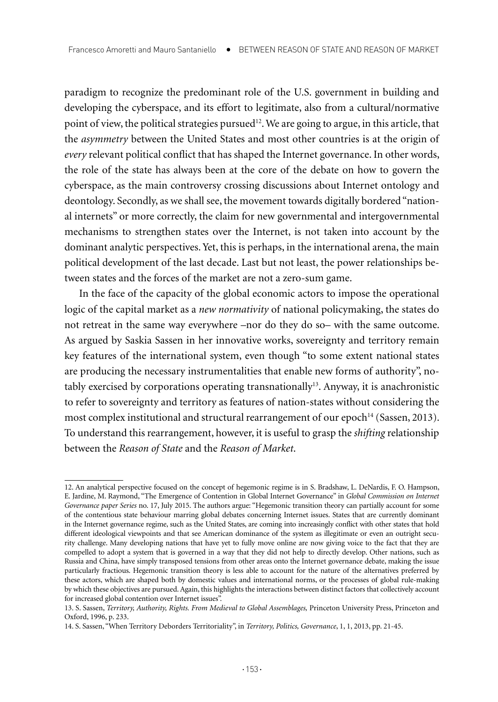paradigm to recognize the predominant role of the U.S. government in building and developing the cyberspace, and its effort to legitimate, also from a cultural/normative point of view, the political strategies pursued<sup>12</sup>. We are going to argue, in this article, that the *asymmetry* between the United States and most other countries is at the origin of *every* relevant political conflict that has shaped the Internet governance. In other words, the role of the state has always been at the core of the debate on how to govern the cyberspace, as the main controversy crossing discussions about Internet ontology and deontology. Secondly, as we shall see, the movement towards digitally bordered "national internets" or more correctly, the claim for new governmental and intergovernmental mechanisms to strengthen states over the Internet, is not taken into account by the dominant analytic perspectives. Yet, this is perhaps, in the international arena, the main political development of the last decade. Last but not least, the power relationships between states and the forces of the market are not a zero-sum game.

In the face of the capacity of the global economic actors to impose the operational logic of the capital market as a *new normativity* of national policymaking, the states do not retreat in the same way everywhere –nor do they do so– with the same outcome. As argued by Saskia Sassen in her innovative works, sovereignty and territory remain key features of the international system, even though "to some extent national states are producing the necessary instrumentalities that enable new forms of authority", notably exercised by corporations operating transnationally $13$ . Anyway, it is anachronistic to refer to sovereignty and territory as features of nation-states without considering the most complex institutional and structural rearrangement of our epoch<sup>14</sup> (Sassen, 2013). To understand this rearrangement, however, it is useful to grasp the *shifting* relationship between the *Reason of State* and the *Reason of Market*.

<sup>12.</sup> An analytical perspective focused on the concept of hegemonic regime is in S. Bradshaw, L. DeNardis, F. O. Hampson, E. Jardine, M. Raymond, "The Emergence of Contention in Global Internet Governance" in *Global Commission on Internet Governance paper Series* no. 17, July 2015. The authors argue: "Hegemonic transition theory can partially account for some of the contentious state behaviour marring global debates concerning Internet issues. States that are currently dominant in the Internet governance regime, such as the United States, are coming into increasingly conflict with other states that hold different ideological viewpoints and that see American dominance of the system as illegitimate or even an outright security challenge. Many developing nations that have yet to fully move online are now giving voice to the fact that they are compelled to adopt a system that is governed in a way that they did not help to directly develop. Other nations, such as Russia and China, have simply transposed tensions from other areas onto the Internet governance debate, making the issue particularly fractious. Hegemonic transition theory is less able to account for the nature of the alternatives preferred by these actors, which are shaped both by domestic values and international norms, or the processes of global rule-making by which these objectives are pursued. Again, this highlights the interactions between distinct factors that collectively account for increased global contention over Internet issues".

<sup>13.</sup> S. Sassen, *Territory, Authority, Rights. From Medieval to Global Assemblages,* Princeton University Press, Princeton and Oxford, 1996, p. 233.

<sup>14.</sup> S. Sassen, "When Territory Deborders Territoriality", in *Territory, Politics, Governance*, 1, 1, 2013, pp. 21-45.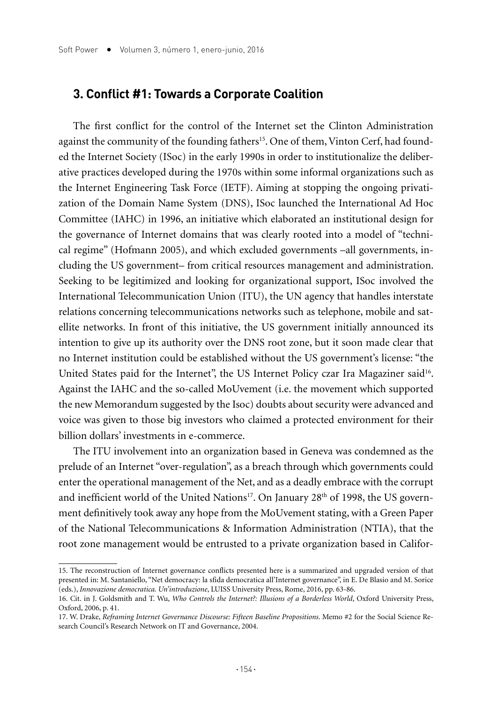#### **3. Conflict #1: Towards a Corporate Coalition**

The first conflict for the control of the Internet set the Clinton Administration against the community of the founding fathers<sup>15</sup>. One of them, Vinton Cerf, had founded the Internet Society (ISoc) in the early 1990s in order to institutionalize the deliberative practices developed during the 1970s within some informal organizations such as the Internet Engineering Task Force (IETF). Aiming at stopping the ongoing privatization of the Domain Name System (DNS), ISoc launched the International Ad Hoc Committee (IAHC) in 1996, an initiative which elaborated an institutional design for the governance of Internet domains that was clearly rooted into a model of "technical regime" (Hofmann 2005), and which excluded governments –all governments, including the US government– from critical resources management and administration. Seeking to be legitimized and looking for organizational support, ISoc involved the International Telecommunication Union (ITU), the UN agency that handles interstate relations concerning telecommunications networks such as telephone, mobile and satellite networks. In front of this initiative, the US government initially announced its intention to give up its authority over the DNS root zone, but it soon made clear that no Internet institution could be established without the US government's license: "the United States paid for the Internet", the US Internet Policy czar Ira Magaziner said<sup>16</sup>. Against the IAHC and the so-called MoUvement (i.e. the movement which supported the new Memorandum suggested by the Isoc) doubts about security were advanced and voice was given to those big investors who claimed a protected environment for their billion dollars' investments in e-commerce.

The ITU involvement into an organization based in Geneva was condemned as the prelude of an Internet "over-regulation", as a breach through which governments could enter the operational management of the Net, and as a deadly embrace with the corrupt and inefficient world of the United Nations<sup>17</sup>. On January  $28<sup>th</sup>$  of 1998, the US government definitively took away any hope from the MoUvement stating, with a Green Paper of the National Telecommunications & Information Administration (NTIA), that the root zone management would be entrusted to a private organization based in Califor-

<sup>15.</sup> The reconstruction of Internet governance conflicts presented here is a summarized and upgraded version of that presented in: M. Santaniello, "Net democracy: la sfida democratica all'Internet governance", in E. De Blasio and M. Sorice (eds.), *Innovazione democratica. Un'introduzione*, LUISS University Press, Rome, 2016, pp. 63-86.

<sup>16.</sup> Cit. in J. Goldsmith and T. Wu, *Who Controls the Internet?: Illusions of a Borderless World*, Oxford University Press, Oxford, 2006, p. 41.

<sup>17.</sup> W. Drake, *Reframing Internet Governance Discourse: Fifteen Baseline Propositions*. Memo #2 for the Social Science Research Council's Research Network on IT and Governance, 2004.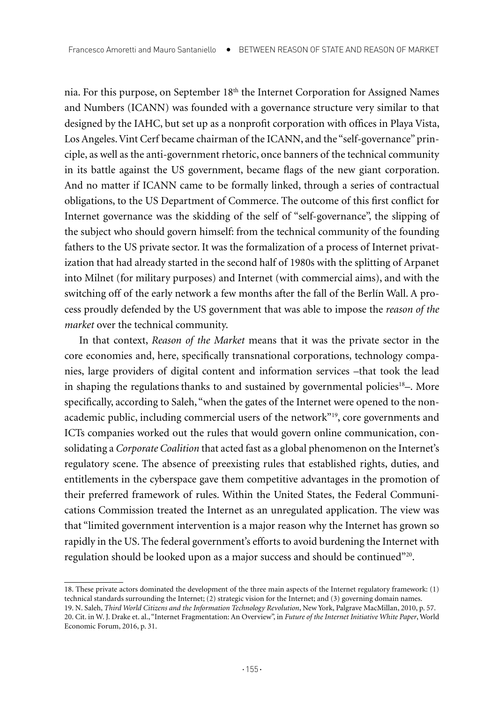nia. For this purpose, on September 18<sup>th</sup> the Internet Corporation for Assigned Names and Numbers (ICANN) was founded with a governance structure very similar to that designed by the IAHC, but set up as a nonprofit corporation with offices in Playa Vista, Los Angeles. Vint Cerf became chairman of the ICANN, and the "self-governance" principle, as well as the anti-government rhetoric, once banners of the technical community in its battle against the US government, became flags of the new giant corporation. And no matter if ICANN came to be formally linked, through a series of contractual obligations, to the US Department of Commerce. The outcome of this first conflict for Internet governance was the skidding of the self of "self-governance", the slipping of the subject who should govern himself: from the technical community of the founding fathers to the US private sector. It was the formalization of a process of Internet privatization that had already started in the second half of 1980s with the splitting of Arpanet into Milnet (for military purposes) and Internet (with commercial aims), and with the switching off of the early network a few months after the fall of the Berlín Wall. A process proudly defended by the US government that was able to impose the *reason of the market* over the technical community.

In that context, *Reason of the Market* means that it was the private sector in the core economies and, here, specifically transnational corporations, technology companies, large providers of digital content and information services –that took the lead in shaping the regulations thanks to and sustained by governmental policies $18-$ . More specifically, according to Saleh, "when the gates of the Internet were opened to the nonacademic public, including commercial users of the network"19, core governments and ICTs companies worked out the rules that would govern online communication, consolidating a *Corporate Coalition* that acted fast as a global phenomenon on the Internet's regulatory scene. The absence of preexisting rules that established rights, duties, and entitlements in the cyberspace gave them competitive advantages in the promotion of their preferred framework of rules. Within the United States, the Federal Communications Commission treated the Internet as an unregulated application. The view was that "limited government intervention is a major reason why the Internet has grown so rapidly in the US. The federal government's efforts to avoid burdening the Internet with regulation should be looked upon as a major success and should be continued"<sup>20</sup>.

<sup>18.</sup> These private actors dominated the development of the three main aspects of the Internet regulatory framework: (1) technical standards surrounding the Internet; (2) strategic vision for the Internet; and (3) governing domain names. 19. N. Saleh, *Third World Citizens and the Information Technology Revolution*, New York, Palgrave MacMillan, 2010, p. 57.

<sup>20.</sup> Cit. in W. J. Drake et. al., "Internet Fragmentation: An Overview", in *Future of the Internet Initiative White Paper*, World Economic Forum, 2016, p. 31.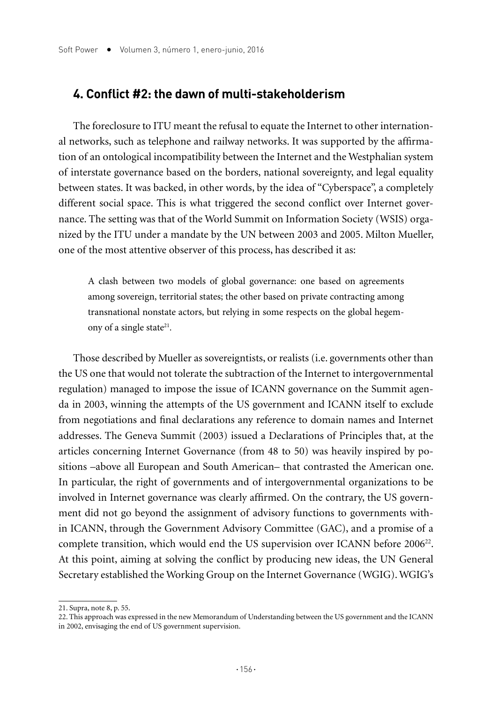### **4. Conflict #2: the dawn of multi-stakeholderism**

The foreclosure to ITU meant the refusal to equate the Internet to other international networks, such as telephone and railway networks. It was supported by the affirmation of an ontological incompatibility between the Internet and the Westphalian system of interstate governance based on the borders, national sovereignty, and legal equality between states. It was backed, in other words, by the idea of "Cyberspace", a completely different social space. This is what triggered the second conflict over Internet governance. The setting was that of the World Summit on Information Society (WSIS) organized by the ITU under a mandate by the UN between 2003 and 2005. Milton Mueller, one of the most attentive observer of this process, has described it as:

A clash between two models of global governance: one based on agreements among sovereign, territorial states; the other based on private contracting among transnational nonstate actors, but relying in some respects on the global hegemony of a single state<sup>21</sup>.

Those described by Mueller as sovereigntists, or realists (i.e. governments other than the US one that would not tolerate the subtraction of the Internet to intergovernmental regulation) managed to impose the issue of ICANN governance on the Summit agenda in 2003, winning the attempts of the US government and ICANN itself to exclude from negotiations and final declarations any reference to domain names and Internet addresses. The Geneva Summit (2003) issued a Declarations of Principles that, at the articles concerning Internet Governance (from 48 to 50) was heavily inspired by positions –above all European and South American– that contrasted the American one. In particular, the right of governments and of intergovernmental organizations to be involved in Internet governance was clearly affirmed. On the contrary, the US government did not go beyond the assignment of advisory functions to governments within ICANN, through the Government Advisory Committee (GAC), and a promise of a complete transition, which would end the US supervision over ICANN before 2006<sup>22</sup>. At this point, aiming at solving the conflict by producing new ideas, the UN General Secretary established the Working Group on the Internet Governance (WGIG). WGIG's

<sup>21.</sup> Supra, note 8, p. 55.

<sup>22.</sup> This approach was expressed in the new Memorandum of Understanding between the US government and the ICANN in 2002, envisaging the end of US government supervision.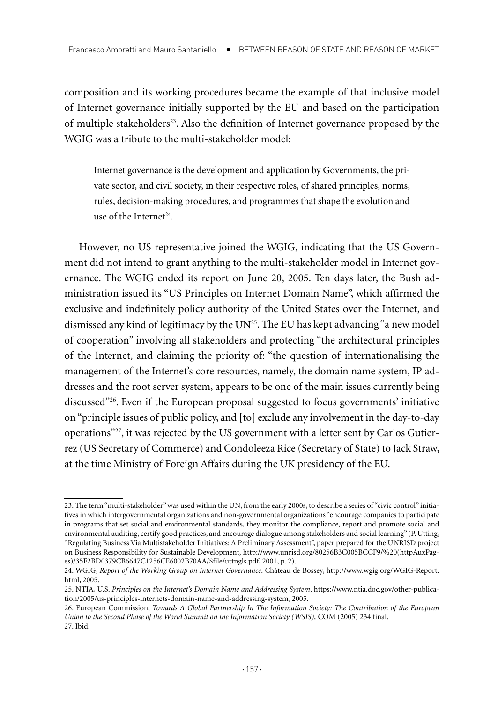composition and its working procedures became the example of that inclusive model of Internet governance initially supported by the EU and based on the participation of multiple stakeholders23. Also the definition of Internet governance proposed by the WGIG was a tribute to the multi-stakeholder model:

Internet governance is the development and application by Governments, the private sector, and civil society, in their respective roles, of shared principles, norms, rules, decision-making procedures, and programmes that shape the evolution and use of the Internet<sup>24</sup>.

However, no US representative joined the WGIG, indicating that the US Government did not intend to grant anything to the multi-stakeholder model in Internet governance. The WGIG ended its report on June 20, 2005. Ten days later, the Bush administration issued its "US Principles on Internet Domain Name", which affirmed the exclusive and indefinitely policy authority of the United States over the Internet, and dismissed any kind of legitimacy by the UN<sup>25</sup>. The EU has kept advancing "a new model of cooperation" involving all stakeholders and protecting "the architectural principles of the Internet, and claiming the priority of: "the question of internationalising the management of the Internet's core resources, namely, the domain name system, IP addresses and the root server system, appears to be one of the main issues currently being discussed"26. Even if the European proposal suggested to focus governments' initiative on "principle issues of public policy, and [to] exclude any involvement in the day-to-day operations"27, it was rejected by the US government with a letter sent by Carlos Gutierrez (US Secretary of Commerce) and Condoleeza Rice (Secretary of State) to Jack Straw, at the time Ministry of Foreign Affairs during the UK presidency of the EU.

<sup>23.</sup> The term "multi-stakeholder" was used within the UN, from the early 2000s, to describe a series of "civic control" initiatives in which intergovernmental organizations and non-governmental organizations "encourage companies to participate in programs that set social and environmental standards, they monitor the compliance, report and promote social and environmental auditing, certify good practices, and encourage dialogue among stakeholders and social learning" (P. Utting, "Regulating Business Via Multistakeholder Initiatives: A Preliminary Assessment", paper prepared for the UNRISD project on Business Responsibility for Sustainable Development, http://www.unrisd.org/80256B3C005BCCF9/%20(httpAuxPages)/35F2BD0379CB6647C1256CE6002B70AA/\$file/uttngls.pdf, 2001, p. 2).

<sup>24.</sup> WGIG, *Report of the Working Group on Internet Governance*. Château de Bossey, http://www.wgig.org/WGIG-Report. html, 2005.

<sup>25.</sup> NTIA, U.S. *Principles on the Internet's Domain Name and Addressing System*, https://www.ntia.doc.gov/other-publication/2005/us-principles-internets-domain-name-and-addressing-system, 2005.

<sup>26.</sup> European Commission, *Towards A Global Partnership In The Information Society: The Contribution of the European Union to the Second Phase of the World Summit on the Information Society (WSIS),* COM (2005) 234 final. 27. Ibid.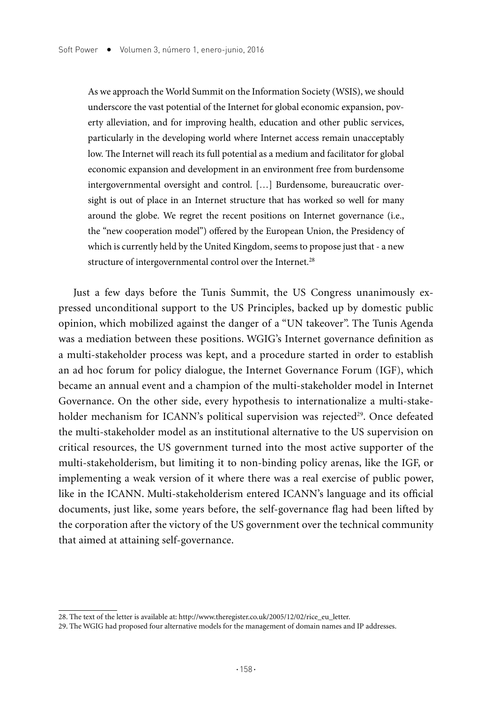As we approach the World Summit on the Information Society (WSIS), we should underscore the vast potential of the Internet for global economic expansion, poverty alleviation, and for improving health, education and other public services, particularly in the developing world where Internet access remain unacceptably low. The Internet will reach its full potential as a medium and facilitator for global economic expansion and development in an environment free from burdensome intergovernmental oversight and control. […] Burdensome, bureaucratic oversight is out of place in an Internet structure that has worked so well for many around the globe. We regret the recent positions on Internet governance (i.e., the "new cooperation model") offered by the European Union, the Presidency of which is currently held by the United Kingdom, seems to propose just that - a new structure of intergovernmental control over the Internet.<sup>28</sup>

Just a few days before the Tunis Summit, the US Congress unanimously expressed unconditional support to the US Principles, backed up by domestic public opinion, which mobilized against the danger of a "UN takeover". The Tunis Agenda was a mediation between these positions. WGIG's Internet governance definition as a multi-stakeholder process was kept, and a procedure started in order to establish an ad hoc forum for policy dialogue, the Internet Governance Forum (IGF), which became an annual event and a champion of the multi-stakeholder model in Internet Governance. On the other side, every hypothesis to internationalize a multi-stakeholder mechanism for ICANN's political supervision was rejected<sup>29</sup>. Once defeated the multi-stakeholder model as an institutional alternative to the US supervision on critical resources, the US government turned into the most active supporter of the multi-stakeholderism, but limiting it to non-binding policy arenas, like the IGF, or implementing a weak version of it where there was a real exercise of public power, like in the ICANN. Multi-stakeholderism entered ICANN's language and its official documents, just like, some years before, the self-governance flag had been lifted by the corporation after the victory of the US government over the technical community that aimed at attaining self-governance.

<sup>28.</sup> The text of the letter is available at: http://www.theregister.co.uk/2005/12/02/rice\_eu\_letter.

<sup>29.</sup> The WGIG had proposed four alternative models for the management of domain names and IP addresses.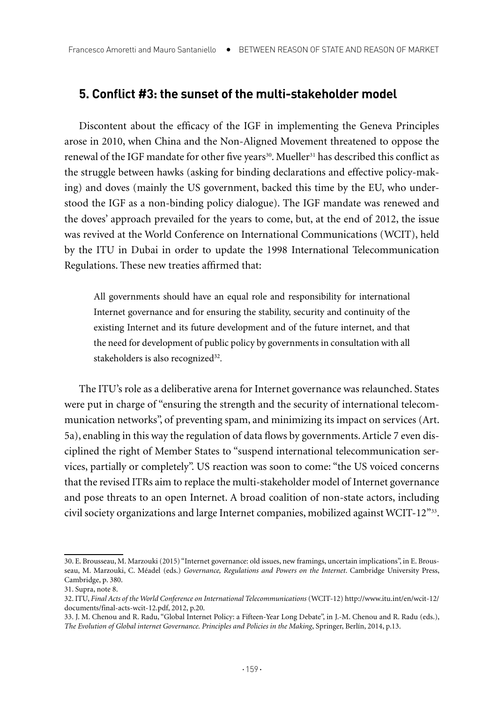#### **5. Conflict #3: the sunset of the multi-stakeholder model**

Discontent about the efficacy of the IGF in implementing the Geneva Principles arose in 2010, when China and the Non-Aligned Movement threatened to oppose the renewal of the IGF mandate for other five years<sup>30</sup>. Mueller<sup>31</sup> has described this conflict as the struggle between hawks (asking for binding declarations and effective policy-making) and doves (mainly the US government, backed this time by the EU, who understood the IGF as a non-binding policy dialogue). The IGF mandate was renewed and the doves' approach prevailed for the years to come, but, at the end of 2012, the issue was revived at the World Conference on International Communications (WCIT), held by the ITU in Dubai in order to update the 1998 International Telecommunication Regulations. These new treaties affirmed that:

All governments should have an equal role and responsibility for international Internet governance and for ensuring the stability, security and continuity of the existing Internet and its future development and of the future internet, and that the need for development of public policy by governments in consultation with all stakeholders is also recognized<sup>32</sup>.

The ITU's role as a deliberative arena for Internet governance was relaunched. States were put in charge of "ensuring the strength and the security of international telecommunication networks", of preventing spam, and minimizing its impact on services (Art. 5a), enabling in this way the regulation of data flows by governments. Article 7 even disciplined the right of Member States to "suspend international telecommunication services, partially or completely". US reaction was soon to come: "the US voiced concerns that the revised ITRs aim to replace the multi-stakeholder model of Internet governance and pose threats to an open Internet. A broad coalition of non-state actors, including civil society organizations and large Internet companies, mobilized against WCIT-12"33.

<sup>30.</sup> E. Brousseau, M. Marzouki (2015) "Internet governance: old issues, new framings, uncertain implications", in E. Brousseau, M. Marzouki, C. Méadel (eds.) *Governance, Regulations and Powers on the Internet*. Cambridge University Press, Cambridge, p. 380.

<sup>31.</sup> Supra, note 8.

<sup>32.</sup> ITU, *Final Acts of the World Conference on International Telecommunications* (WCIT-12) http://www.itu.int/en/wcit-12/ documents/final-acts-wcit-12.pdf, 2012, p.20.

<sup>33.</sup> J. M. Chenou and R. Radu, "Global Internet Policy: a Fifteen-Year Long Debate", in J.-M. Chenou and R. Radu (eds.), *The Evolution of Global internet Governance. Principles and Policies in the Making*, Springer, Berlín, 2014, p.13.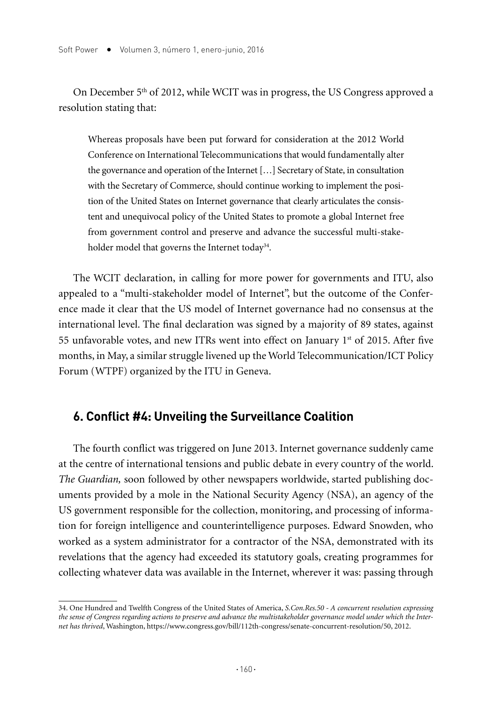On December 5<sup>th</sup> of 2012, while WCIT was in progress, the US Congress approved a resolution stating that:

Whereas proposals have been put forward for consideration at the 2012 World Conference on International Telecommunications that would fundamentally alter the governance and operation of the Internet […] Secretary of State, in consultation with the Secretary of Commerce, should continue working to implement the position of the United States on Internet governance that clearly articulates the consistent and unequivocal policy of the United States to promote a global Internet free from government control and preserve and advance the successful multi-stakeholder model that governs the Internet today<sup>34</sup>.

The WCIT declaration, in calling for more power for governments and ITU, also appealed to a "multi-stakeholder model of Internet", but the outcome of the Conference made it clear that the US model of Internet governance had no consensus at the international level. The final declaration was signed by a majority of 89 states, against 55 unfavorable votes, and new ITRs went into effect on January  $1<sup>st</sup>$  of 2015. After five months, in May, a similar struggle livened up the World Telecommunication/ICT Policy Forum (WTPF) organized by the ITU in Geneva.

## **6. Conflict #4: Unveiling the Surveillance Coalition**

The fourth conflict was triggered on June 2013. Internet governance suddenly came at the centre of international tensions and public debate in every country of the world. *The Guardian,* soon followed by other newspapers worldwide, started publishing documents provided by a mole in the National Security Agency (NSA), an agency of the US government responsible for the collection, monitoring, and processing of information for foreign intelligence and counterintelligence purposes. Edward Snowden, who worked as a system administrator for a contractor of the NSA, demonstrated with its revelations that the agency had exceeded its statutory goals, creating programmes for collecting whatever data was available in the Internet, wherever it was: passing through

<sup>34.</sup> One Hundred and Twelfth Congress of the United States of America, *S.Con.Res.50 - A concurrent resolution expressing the sense of Congress regarding actions to preserve and advance the multistakeholder governance model under which the Internet has thrived*, Washington, https://www.congress.gov/bill/112th-congress/senate-concurrent-resolution/50, 2012.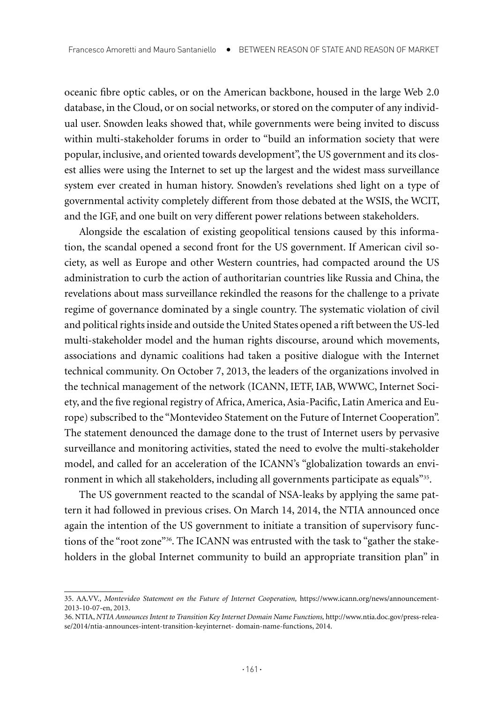oceanic fibre optic cables, or on the American backbone, housed in the large Web 2.0 database, in the Cloud, or on social networks, or stored on the computer of any individual user. Snowden leaks showed that, while governments were being invited to discuss within multi-stakeholder forums in order to "build an information society that were popular, inclusive, and oriented towards development", the US government and its closest allies were using the Internet to set up the largest and the widest mass surveillance system ever created in human history. Snowden's revelations shed light on a type of governmental activity completely different from those debated at the WSIS, the WCIT, and the IGF, and one built on very different power relations between stakeholders.

Alongside the escalation of existing geopolitical tensions caused by this information, the scandal opened a second front for the US government. If American civil society, as well as Europe and other Western countries, had compacted around the US administration to curb the action of authoritarian countries like Russia and China, the revelations about mass surveillance rekindled the reasons for the challenge to a private regime of governance dominated by a single country. The systematic violation of civil and political rights inside and outside the United States opened a rift between the US-led multi-stakeholder model and the human rights discourse, around which movements, associations and dynamic coalitions had taken a positive dialogue with the Internet technical community. On October 7, 2013, the leaders of the organizations involved in the technical management of the network (ICANN, IETF, IAB, WWWC, Internet Society, and the five regional registry of Africa, America, Asia-Pacific, Latin America and Europe) subscribed to the "Montevideo Statement on the Future of Internet Cooperation". The statement denounced the damage done to the trust of Internet users by pervasive surveillance and monitoring activities, stated the need to evolve the multi-stakeholder model, and called for an acceleration of the ICANN's "globalization towards an environment in which all stakeholders, including all governments participate as equals"<sup>35</sup>.

The US government reacted to the scandal of NSA-leaks by applying the same pattern it had followed in previous crises. On March 14, 2014, the NTIA announced once again the intention of the US government to initiate a transition of supervisory functions of the "root zone"36. The ICANN was entrusted with the task to "gather the stakeholders in the global Internet community to build an appropriate transition plan" in

<sup>35.</sup> AA.VV., *Montevideo Statement on the Future of Internet Cooperation,* https://www.icann.org/news/announcement-2013-10-07-en, 2013.

<sup>36.</sup> NTIA, *NTIA Announces Intent to Transition Key Internet Domain Name Functions,* http://www.ntia.doc.gov/press-release/2014/ntia-announces-intent-transition-keyinternet- domain-name-functions, 2014.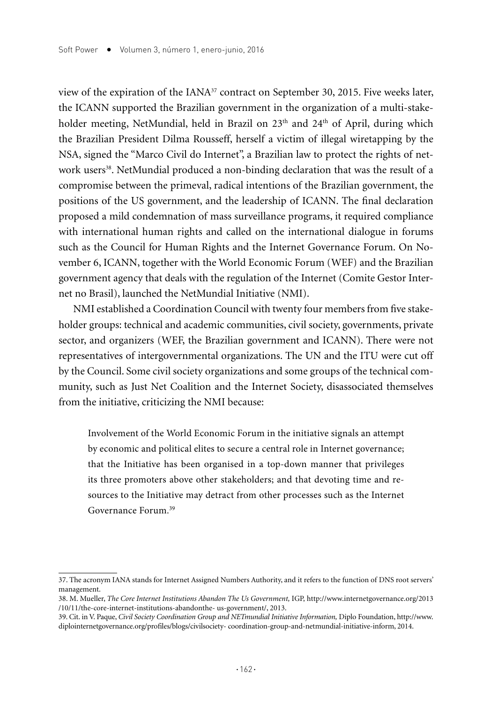view of the expiration of the IANA37 contract on September 30, 2015. Five weeks later, the ICANN supported the Brazilian government in the organization of a multi-stakeholder meeting, NetMundial, held in Brazil on 23<sup>th</sup> and 24<sup>th</sup> of April, during which the Brazilian President Dilma Rousseff, herself a victim of illegal wiretapping by the NSA, signed the "Marco Civil do Internet", a Brazilian law to protect the rights of network users<sup>38</sup>. NetMundial produced a non-binding declaration that was the result of a compromise between the primeval, radical intentions of the Brazilian government, the positions of the US government, and the leadership of ICANN. The final declaration proposed a mild condemnation of mass surveillance programs, it required compliance with international human rights and called on the international dialogue in forums such as the Council for Human Rights and the Internet Governance Forum. On November 6, ICANN, together with the World Economic Forum (WEF) and the Brazilian government agency that deals with the regulation of the Internet (Comite Gestor Internet no Brasil), launched the NetMundial Initiative (NMI).

NMI established a Coordination Council with twenty four members from five stakeholder groups: technical and academic communities, civil society, governments, private sector, and organizers (WEF, the Brazilian government and ICANN). There were not representatives of intergovernmental organizations. The UN and the ITU were cut off by the Council. Some civil society organizations and some groups of the technical community, such as Just Net Coalition and the Internet Society, disassociated themselves from the initiative, criticizing the NMI because:

Involvement of the World Economic Forum in the initiative signals an attempt by economic and political elites to secure a central role in Internet governance; that the Initiative has been organised in a top-down manner that privileges its three promoters above other stakeholders; and that devoting time and resources to the Initiative may detract from other processes such as the Internet Governance Forum.39

<sup>37.</sup> The acronym IANA stands for Internet Assigned Numbers Authority, and it refers to the function of DNS root servers' management.

<sup>38.</sup> M. Mueller, *The Core Internet Institutions Abandon The Us Government,* IGP, http://www.internetgovernance.org/2013 /10/11/the-core-internet-institutions-abandonthe- us-government/, 2013.

<sup>39.</sup> Cit. in V. Paque, *Civil Society Coordination Group and NETmundial Initiative Information,* Diplo Foundation, http://www. diplointernetgovernance.org/profiles/blogs/civilsociety- coordination-group-and-netmundial-initiative-inform, 2014.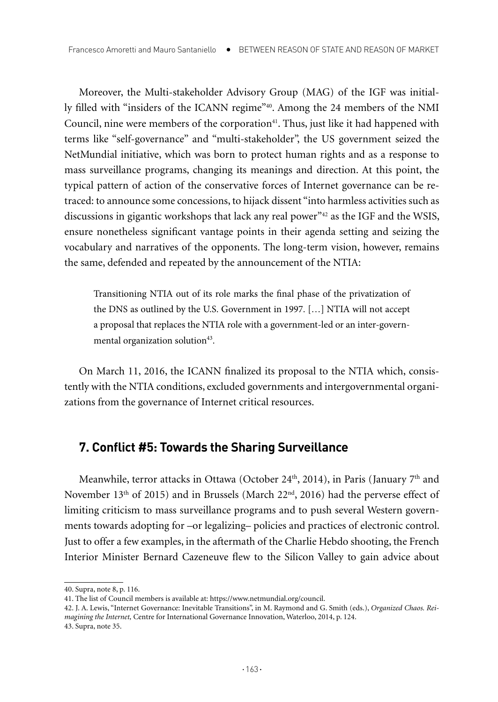Moreover, the Multi-stakeholder Advisory Group (MAG) of the IGF was initially filled with "insiders of the ICANN regime"40. Among the 24 members of the NMI Council, nine were members of the corporation<sup>41</sup>. Thus, just like it had happened with terms like "self-governance" and "multi-stakeholder", the US government seized the NetMundial initiative, which was born to protect human rights and as a response to mass surveillance programs, changing its meanings and direction. At this point, the typical pattern of action of the conservative forces of Internet governance can be retraced: to announce some concessions, to hijack dissent "into harmless activities such as discussions in gigantic workshops that lack any real power<sup>"42</sup> as the IGF and the WSIS, ensure nonetheless significant vantage points in their agenda setting and seizing the vocabulary and narratives of the opponents. The long-term vision, however, remains the same, defended and repeated by the announcement of the NTIA:

Transitioning NTIA out of its role marks the final phase of the privatization of the DNS as outlined by the U.S. Government in 1997. […] NTIA will not accept a proposal that replaces the NTIA role with a government-led or an inter-governmental organization solution<sup>43</sup>.

On March 11, 2016, the ICANN finalized its proposal to the NTIA which, consistently with the NTIA conditions, excluded governments and intergovernmental organizations from the governance of Internet critical resources.

# **7. Conflict #5: Towards the Sharing Surveillance**

Meanwhile, terror attacks in Ottawa (October 24<sup>th</sup>, 2014), in Paris (January 7<sup>th</sup> and November 13th of 2015) and in Brussels (March 22nd, 2016) had the perverse effect of limiting criticism to mass surveillance programs and to push several Western governments towards adopting for –or legalizing– policies and practices of electronic control. Just to offer a few examples, in the aftermath of the Charlie Hebdo shooting, the French Interior Minister Bernard Cazeneuve flew to the Silicon Valley to gain advice about

<sup>40.</sup> Supra, note 8, p. 116.

<sup>41.</sup> The list of Council members is available at: https://www.netmundial.org/council.

<sup>42.</sup> J. A. Lewis, "Internet Governance: Inevitable Transitions", in M. Raymond and G. Smith (eds.), *Organized Chaos. Reimagining the Internet,* Centre for International Governance Innovation, Waterloo, 2014, p. 124. 43. Supra, note 35.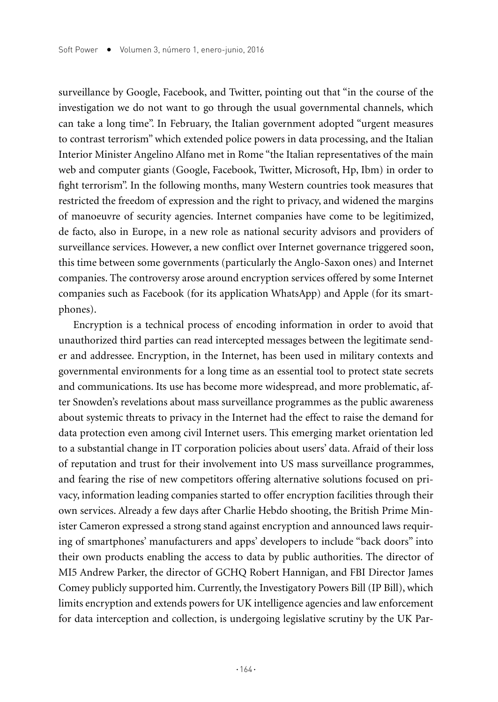surveillance by Google, Facebook, and Twitter, pointing out that "in the course of the investigation we do not want to go through the usual governmental channels, which can take a long time". In February, the Italian government adopted "urgent measures to contrast terrorism" which extended police powers in data processing, and the Italian Interior Minister Angelino Alfano met in Rome "the Italian representatives of the main web and computer giants (Google, Facebook, Twitter, Microsoft, Hp, Ibm) in order to fight terrorism". In the following months, many Western countries took measures that restricted the freedom of expression and the right to privacy, and widened the margins of manoeuvre of security agencies. Internet companies have come to be legitimized, de facto, also in Europe, in a new role as national security advisors and providers of surveillance services. However, a new conflict over Internet governance triggered soon, this time between some governments (particularly the Anglo-Saxon ones) and Internet companies. The controversy arose around encryption services offered by some Internet companies such as Facebook (for its application WhatsApp) and Apple (for its smartphones).

Encryption is a technical process of encoding information in order to avoid that unauthorized third parties can read intercepted messages between the legitimate sender and addressee. Encryption, in the Internet, has been used in military contexts and governmental environments for a long time as an essential tool to protect state secrets and communications. Its use has become more widespread, and more problematic, after Snowden's revelations about mass surveillance programmes as the public awareness about systemic threats to privacy in the Internet had the effect to raise the demand for data protection even among civil Internet users. This emerging market orientation led to a substantial change in IT corporation policies about users' data. Afraid of their loss of reputation and trust for their involvement into US mass surveillance programmes, and fearing the rise of new competitors offering alternative solutions focused on privacy, information leading companies started to offer encryption facilities through their own services. Already a few days after Charlie Hebdo shooting, the British Prime Minister Cameron expressed a strong stand against encryption and announced laws requiring of smartphones' manufacturers and apps' developers to include "back doors" into their own products enabling the access to data by public authorities. The director of MI5 Andrew Parker, the director of GCHQ Robert Hannigan, and FBI Director James Comey publicly supported him. Currently, the Investigatory Powers Bill (IP Bill), which limits encryption and extends powers for UK intelligence agencies and law enforcement for data interception and collection, is undergoing legislative scrutiny by the UK Par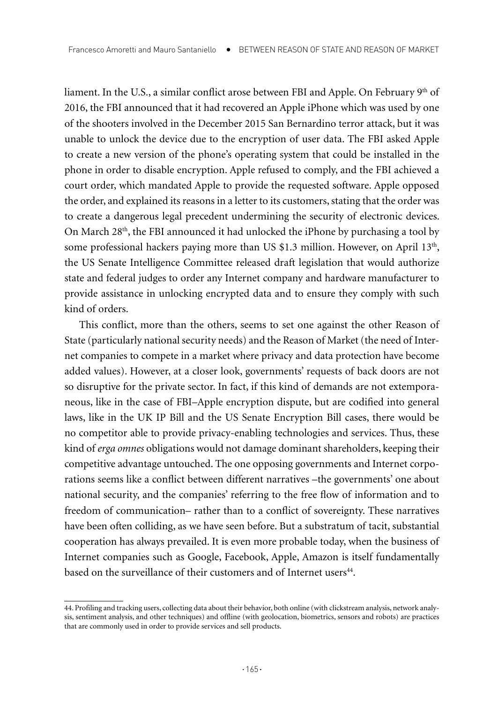liament. In the U.S., a similar conflict arose between FBI and Apple. On February 9<sup>th</sup> of 2016, the FBI announced that it had recovered an Apple iPhone which was used by one of the shooters involved in the December 2015 San Bernardino terror attack, but it was unable to unlock the device due to the encryption of user data. The FBI asked Apple to create a new version of the phone's operating system that could be installed in the phone in order to disable encryption. Apple refused to comply, and the FBI achieved a court order, which mandated Apple to provide the requested software. Apple opposed the order, and explained its reasons in a letter to its customers, stating that the order was to create a dangerous legal precedent undermining the security of electronic devices. On March 28th, the FBI announced it had unlocked the iPhone by purchasing a tool by some professional hackers paying more than US \$1.3 million. However, on April  $13<sup>th</sup>$ , the US Senate Intelligence Committee released draft legislation that would authorize state and federal judges to order any Internet company and hardware manufacturer to provide assistance in unlocking encrypted data and to ensure they comply with such kind of orders.

This conflict, more than the others, seems to set one against the other Reason of State (particularly national security needs) and the Reason of Market (the need of Internet companies to compete in a market where privacy and data protection have become added values). However, at a closer look, governments' requests of back doors are not so disruptive for the private sector. In fact, if this kind of demands are not extemporaneous, like in the case of FBI–Apple encryption dispute, but are codified into general laws, like in the UK IP Bill and the US Senate Encryption Bill cases, there would be no competitor able to provide privacy-enabling technologies and services. Thus, these kind of *erga omnes* obligations would not damage dominant shareholders, keeping their competitive advantage untouched. The one opposing governments and Internet corporations seems like a conflict between different narratives –the governments' one about national security, and the companies' referring to the free flow of information and to freedom of communication– rather than to a conflict of sovereignty. These narratives have been often colliding, as we have seen before. But a substratum of tacit, substantial cooperation has always prevailed. It is even more probable today, when the business of Internet companies such as Google, Facebook, Apple, Amazon is itself fundamentally based on the surveillance of their customers and of Internet users<sup>44</sup>.

<sup>44.</sup> Profiling and tracking users, collecting data about their behavior, both online (with clickstream analysis, network analysis, sentiment analysis, and other techniques) and offline (with geolocation, biometrics, sensors and robots) are practices that are commonly used in order to provide services and sell products.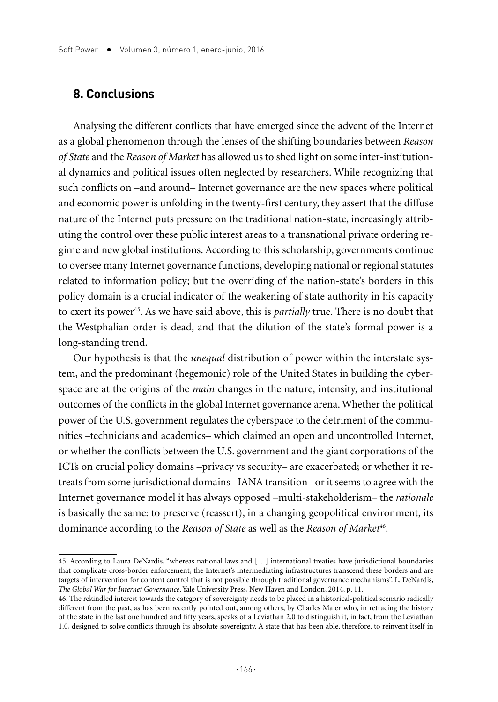#### **8. Conclusions**

Analysing the different conflicts that have emerged since the advent of the Internet as a global phenomenon through the lenses of the shifting boundaries between *Reason of State* and the *Reason of Market* has allowed us to shed light on some inter-institutional dynamics and political issues often neglected by researchers. While recognizing that such conflicts on –and around– Internet governance are the new spaces where political and economic power is unfolding in the twenty-first century, they assert that the diffuse nature of the Internet puts pressure on the traditional nation-state, increasingly attributing the control over these public interest areas to a transnational private ordering regime and new global institutions. According to this scholarship, governments continue to oversee many Internet governance functions, developing national or regional statutes related to information policy; but the overriding of the nation-state's borders in this policy domain is a crucial indicator of the weakening of state authority in his capacity to exert its power<sup>45</sup>. As we have said above, this is *partially* true. There is no doubt that the Westphalian order is dead, and that the dilution of the state's formal power is a long-standing trend.

Our hypothesis is that the *unequal* distribution of power within the interstate system, and the predominant (hegemonic) role of the United States in building the cyberspace are at the origins of the *main* changes in the nature, intensity, and institutional outcomes of the conflicts in the global Internet governance arena. Whether the political power of the U.S. government regulates the cyberspace to the detriment of the communities –technicians and academics– which claimed an open and uncontrolled Internet, or whether the conflicts between the U.S. government and the giant corporations of the ICTs on crucial policy domains –privacy vs security– are exacerbated; or whether it retreats from some jurisdictional domains –IANA transition– or it seems to agree with the Internet governance model it has always opposed –multi-stakeholderism– the *rationale* is basically the same: to preserve (reassert), in a changing geopolitical environment, its dominance according to the *Reason of State* as well as the *Reason of Market46*.

<sup>45.</sup> According to Laura DeNardis, "whereas national laws and […] international treaties have jurisdictional boundaries that complicate cross-border enforcement, the Internet's intermediating infrastructures transcend these borders and are targets of intervention for content control that is not possible through traditional governance mechanisms". L. DeNardis, *The Global War for Internet Governance*, Yale University Press, New Haven and London, 2014, p. 11.

<sup>46.</sup> The rekindled interest towards the category of sovereignty needs to be placed in a historical-political scenario radically different from the past, as has been recently pointed out, among others, by Charles Maier who, in retracing the history of the state in the last one hundred and fifty years, speaks of a Leviathan 2.0 to distinguish it, in fact, from the Leviathan 1.0, designed to solve conflicts through its absolute sovereignty. A state that has been able, therefore, to reinvent itself in